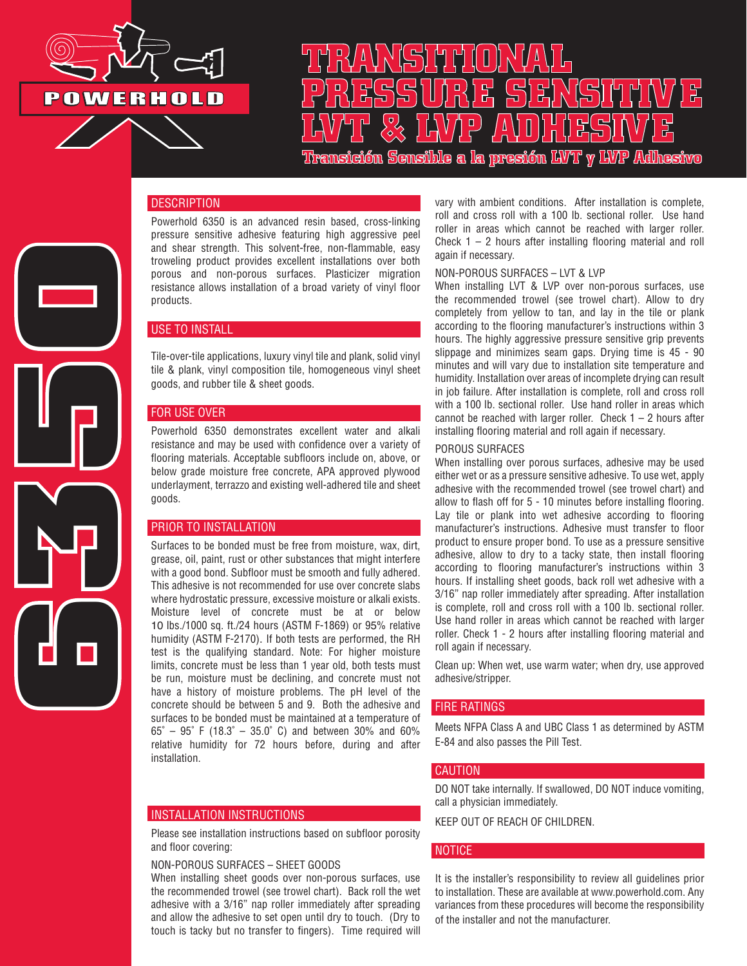

# **TRANSITIONAL PRESSURE SENSITIVE LVT & LVP ADHESIVE Transición Sensible a la presión LVT y LVP Adhesivo**

## **DESCRIPTION**

Powerhold 6350 is an advanced resin based, cross-linking pressure sensitive adhesive featuring high aggressive peel and shear strength. This solvent-free, non-flammable, easy troweling product provides excellent installations over both porous and non-porous surfaces. Plasticizer migration resistance allows installation of a broad variety of vinyl floor products.

### USE TO INSTALL

Tile-over-tile applications, luxury vinyl tile and plank, solid vinyl tile & plank, vinyl composition tile, homogeneous vinyl sheet goods, and rubber tile & sheet goods.

### FOR USE OVER

**6350**

Powerhold 6350 demonstrates excellent water and alkali resistance and may be used with confidence over a variety of flooring materials. Acceptable subfloors include on, above, or below grade moisture free concrete, APA approved plywood underlayment, terrazzo and existing well-adhered tile and sheet goods.

### PRIOR TO INSTALLATION

Surfaces to be bonded must be free from moisture, wax, dirt, grease, oil, paint, rust or other substances that might interfere with a good bond. Subfloor must be smooth and fully adhered. This adhesive is not recommended for use over concrete slabs where hydrostatic pressure, excessive moisture or alkali exists. Moisture level of concrete must be at or below 10 lbs./1000 sq. ft./24 hours (ASTM F-1869) or 95% relative humidity (ASTM F-2170). If both tests are performed, the RH test is the qualifying standard. Note: For higher moisture limits, concrete must be less than 1 year old, both tests must be run, moisture must be declining, and concrete must not have a history of moisture problems. The pH level of the concrete should be between 5 and 9. Both the adhesive and surfaces to be bonded must be maintained at a temperature of 65˚ – 95˚ F (18.3˚ – 35.0˚ C) and between 30% and 60% relative humidity for 72 hours before, during and after installation.

### INSTALLATION INSTRUCTIONS

Please see installation instructions based on subfloor porosity and floor covering:

### NON-POROUS SURFACES – SHEET GOODS

When installing sheet goods over non-porous surfaces, use the recommended trowel (see trowel chart). Back roll the wet adhesive with a 3/16" nap roller immediately after spreading and allow the adhesive to set open until dry to touch. (Dry to touch is tacky but no transfer to fingers). Time required will

vary with ambient conditions. After installation is complete, roll and cross roll with a 100 lb. sectional roller. Use hand roller in areas which cannot be reached with larger roller. Check  $1 - 2$  hours after installing flooring material and roll again if necessary.

### NON-POROUS SURFACES – LVT & LVP

When installing LVT & LVP over non-porous surfaces, use the recommended trowel (see trowel chart). Allow to dry completely from yellow to tan, and lay in the tile or plank according to the flooring manufacturer's instructions within 3 hours. The highly aggressive pressure sensitive grip prevents slippage and minimizes seam gaps. Drying time is 45 - 90 minutes and will vary due to installation site temperature and humidity. Installation over areas of incomplete drying can result in job failure. After installation is complete, roll and cross roll with a 100 lb. sectional roller. Use hand roller in areas which cannot be reached with larger roller. Check  $1 - 2$  hours after installing flooring material and roll again if necessary.

### POROUS SURFACES

When installing over porous surfaces, adhesive may be used either wet or as a pressure sensitive adhesive. To use wet, apply adhesive with the recommended trowel (see trowel chart) and allow to flash off for 5 - 10 minutes before installing flooring. Lay tile or plank into wet adhesive according to flooring manufacturer's instructions. Adhesive must transfer to floor product to ensure proper bond. To use as a pressure sensitive adhesive, allow to dry to a tacky state, then install flooring according to flooring manufacturer's instructions within 3 hours. If installing sheet goods, back roll wet adhesive with a 3/16" nap roller immediately after spreading. After installation is complete, roll and cross roll with a 100 lb. sectional roller. Use hand roller in areas which cannot be reached with larger roller. Check 1 - 2 hours after installing flooring material and roll again if necessary.

Clean up: When wet, use warm water; when dry, use approved adhesive/stripper.

### FIRE RATINGS

Meets NFPA Class A and UBC Class 1 as determined by ASTM E-84 and also passes the Pill Test.

### **CAUTION**

DO NOT take internally. If swallowed, DO NOT induce vomiting, call a physician immediately.

KEEP OUT OF REACH OF CHILDREN.

### **NOTICE**

It is the installer's responsibility to review all guidelines prior to installation. These are available at www.powerhold.com. Any variances from these procedures will become the responsibility of the installer and not the manufacturer.